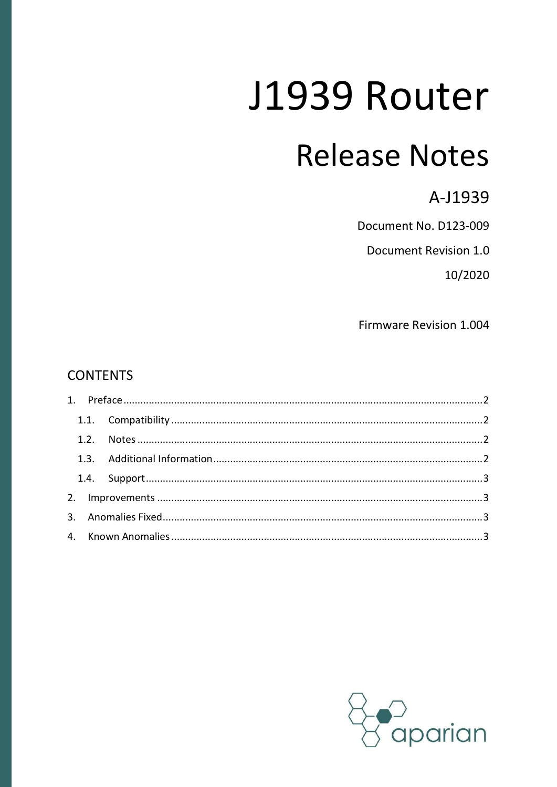# J1939 Router

# **Release Notes**

A-J1939

Document No. D123-009

Document Revision 1.0

10/2020

Firmware Revision 1.004

#### **CONTENTS**

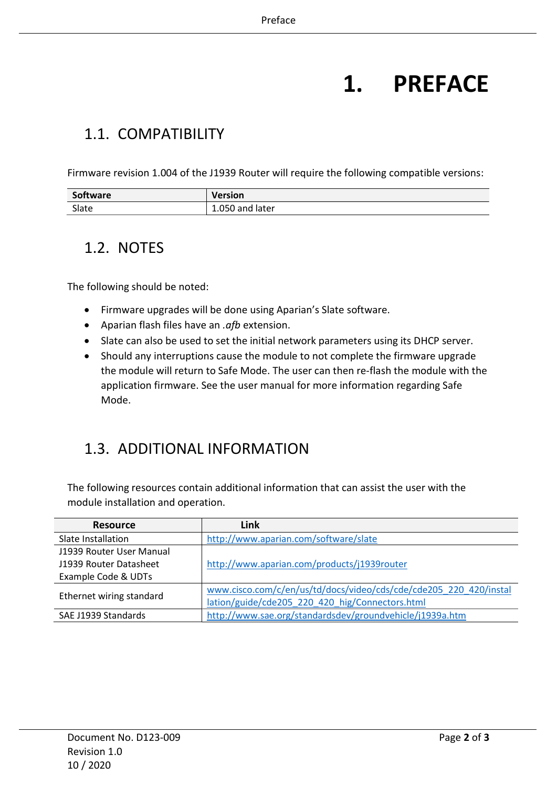# 1. PREFACE

#### 1.1. COMPATIBILITY

Firmware revision 1.004 of the J1939 Router will require the following compatible versions:

| Software | Version         |
|----------|-----------------|
| Slate    | 1.050 and later |

#### 1.2. NOTES

The following should be noted:

- Firmware upgrades will be done using Aparian's Slate software.
- Aparian flash files have an . $afb$  extension.
- Slate can also be used to set the initial network parameters using its DHCP server.
- Should any interruptions cause the module to not complete the firmware upgrade the module will return to Safe Mode. The user can then re-flash the module with the application firmware. See the user manual for more information regarding Safe Mode.

#### 1.3. ADDITIONAL INFORMATION

The following resources contain additional information that can assist the user with the module installation and operation.

| <b>Resource</b>          | Link                                                              |
|--------------------------|-------------------------------------------------------------------|
| Slate Installation       | http://www.aparian.com/software/slate                             |
| J1939 Router User Manual |                                                                   |
| J1939 Router Datasheet   | http://www.aparian.com/products/j1939router                       |
| Example Code & UDTs      |                                                                   |
|                          | www.cisco.com/c/en/us/td/docs/video/cds/cde/cde205 220 420/instal |
| Ethernet wiring standard | lation/guide/cde205 220 420 hig/Connectors.html                   |
| SAE J1939 Standards      | http://www.sae.org/standardsdev/groundvehicle/j1939a.htm          |